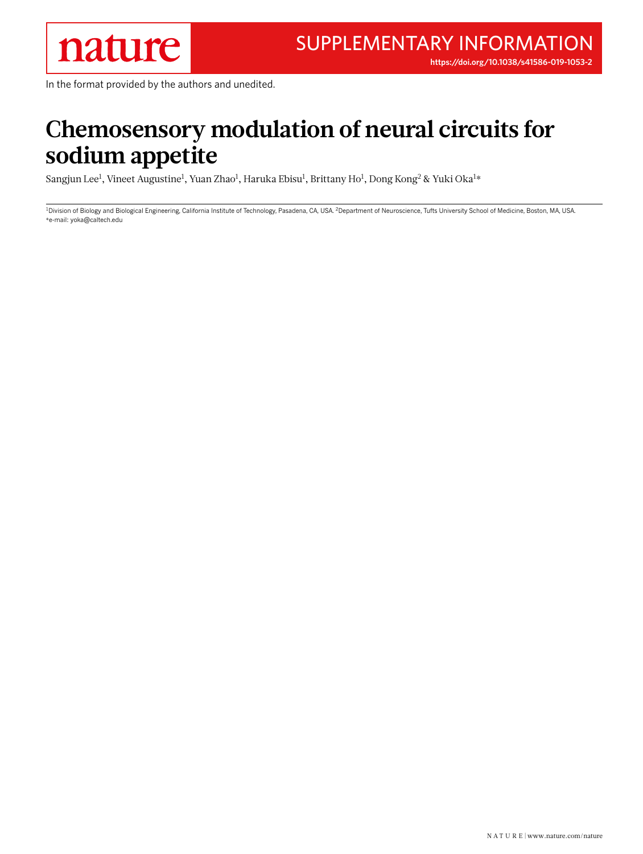**<https://doi.org/10.1038/s41586-019-1053-2>**

In the format provided by the authors and unedited.

## **Chemosensory modulation of neural circuits for sodium appetite**

Sangjun Lee $^{\rm l}$ , Vineet Augustine $^{\rm l}$ , Yuan Zhao $^{\rm l}$ , Haruka Ebisu $^{\rm l}$ , Brittany Ho $^{\rm l}$ , Dong Kong $^{\rm 2}$  & Yuki Oka $^{\rm l}$ \*

<sup>1</sup>Division of Biology and Biological Engineering, California Institute of Technology, Pasadena, CA, USA. <sup>2</sup>Department of Neuroscience, Tufts University School of Medicine, Boston, MA, USA. \*e-mail: [yoka@caltech.edu](mailto:yoka@caltech.edu)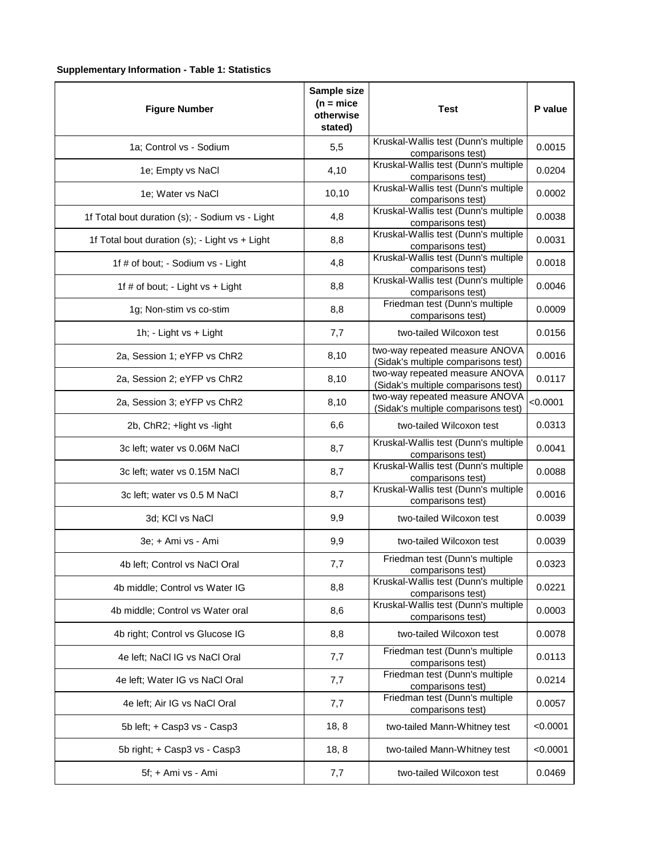## **Supplementary Information - Table 1: Statistics**

| <b>Figure Number</b>                            | Sample size<br>$(n = mice)$<br>otherwise<br>stated) | <b>Test</b>                                                           | P value  |
|-------------------------------------------------|-----------------------------------------------------|-----------------------------------------------------------------------|----------|
| 1a; Control vs - Sodium                         | 5,5                                                 | Kruskal-Wallis test (Dunn's multiple<br>comparisons test)             | 0.0015   |
| 1e; Empty vs NaCl                               | 4,10                                                | Kruskal-Wallis test (Dunn's multiple<br>comparisons test)             | 0.0204   |
| 1e; Water vs NaCl                               | 10,10                                               | Kruskal-Wallis test (Dunn's multiple<br>comparisons test)             | 0.0002   |
| 1f Total bout duration (s); - Sodium vs - Light | 4,8                                                 | Kruskal-Wallis test (Dunn's multiple<br>comparisons test)             | 0.0038   |
| 1f Total bout duration (s); - Light vs + Light  | 8,8                                                 | Kruskal-Wallis test (Dunn's multiple<br>comparisons test)             | 0.0031   |
| 1f # of bout; - Sodium vs - Light               | 4,8                                                 | Kruskal-Wallis test (Dunn's multiple<br>comparisons test)             | 0.0018   |
| 1f # of bout; - Light vs + Light                | 8,8                                                 | Kruskal-Wallis test (Dunn's multiple<br>comparisons test)             | 0.0046   |
| 1g; Non-stim vs co-stim                         | 8,8                                                 | Friedman test (Dunn's multiple<br>comparisons test)                   | 0.0009   |
| 1h; - Light vs + Light                          | 7,7                                                 | two-tailed Wilcoxon test                                              | 0.0156   |
| 2a, Session 1; eYFP vs ChR2                     | 8,10                                                | two-way repeated measure ANOVA<br>(Sidak's multiple comparisons test) | 0.0016   |
| 2a, Session 2; eYFP vs ChR2                     | 8,10                                                | two-way repeated measure ANOVA<br>(Sidak's multiple comparisons test) | 0.0117   |
| 2a, Session 3; eYFP vs ChR2                     | 8,10                                                | two-way repeated measure ANOVA<br>(Sidak's multiple comparisons test) | < 0.0001 |
| 2b, ChR2; +light vs -light                      | 6,6                                                 | two-tailed Wilcoxon test                                              | 0.0313   |
| 3c left; water vs 0.06M NaCl                    | 8,7                                                 | Kruskal-Wallis test (Dunn's multiple<br>comparisons test)             | 0.0041   |
| 3c left; water vs 0.15M NaCl                    | 8,7                                                 | Kruskal-Wallis test (Dunn's multiple<br>comparisons test)             | 0.0088   |
| 3c left; water vs 0.5 M NaCl                    | 8,7                                                 | Kruskal-Wallis test (Dunn's multiple<br>comparisons test)             | 0.0016   |
| 3d; KCI vs NaCl                                 | 9,9                                                 | two-tailed Wilcoxon test                                              | 0.0039   |
| 3e; + Ami vs - Ami                              | 9,9                                                 | two-tailed Wilcoxon test                                              | 0.0039   |
| 4b left; Control vs NaCl Oral                   | 7,7                                                 | Friedman test (Dunn's multiple<br>comparisons test)                   | 0.0323   |
| 4b middle; Control vs Water IG                  | 8,8                                                 | Kruskal-Wallis test (Dunn's multiple<br>comparisons test)             | 0.0221   |
| 4b middle; Control vs Water oral                | 8,6                                                 | Kruskal-Wallis test (Dunn's multiple<br>comparisons test)             | 0.0003   |
| 4b right; Control vs Glucose IG                 | 8,8                                                 | two-tailed Wilcoxon test                                              | 0.0078   |
| 4e left; NaCl IG vs NaCl Oral                   | 7,7                                                 | Friedman test (Dunn's multiple<br>comparisons test)                   | 0.0113   |
| 4e left; Water IG vs NaCl Oral                  | 7,7                                                 | Friedman test (Dunn's multiple<br>comparisons test)                   | 0.0214   |
| 4e left; Air IG vs NaCl Oral                    | 7,7                                                 | Friedman test (Dunn's multiple<br>comparisons test)                   | 0.0057   |
| 5b left; + Casp3 vs - Casp3                     | 18, 8                                               | two-tailed Mann-Whitney test                                          | < 0.0001 |
| 5b right; + Casp3 vs - Casp3                    | 18, 8                                               | two-tailed Mann-Whitney test                                          | < 0.0001 |
| 5f; + Ami vs - Ami                              | 7,7                                                 | two-tailed Wilcoxon test                                              | 0.0469   |
|                                                 |                                                     |                                                                       |          |